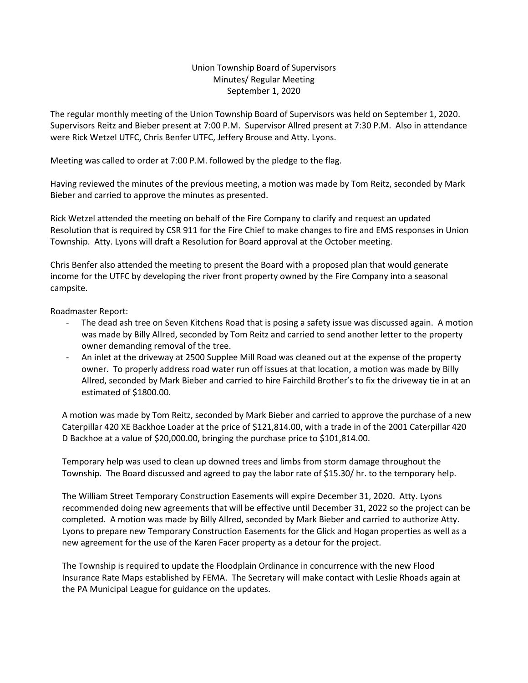## Union Township Board of Supervisors Minutes/ Regular Meeting September 1, 2020

The regular monthly meeting of the Union Township Board of Supervisors was held on September 1, 2020. Supervisors Reitz and Bieber present at 7:00 P.M. Supervisor Allred present at 7:30 P.M. Also in attendance were Rick Wetzel UTFC, Chris Benfer UTFC, Jeffery Brouse and Atty. Lyons.

Meeting was called to order at 7:00 P.M. followed by the pledge to the flag.

Having reviewed the minutes of the previous meeting, a motion was made by Tom Reitz, seconded by Mark Bieber and carried to approve the minutes as presented.

Rick Wetzel attended the meeting on behalf of the Fire Company to clarify and request an updated Resolution that is required by CSR 911 for the Fire Chief to make changes to fire and EMS responses in Union Township. Atty. Lyons will draft a Resolution for Board approval at the October meeting.

Chris Benfer also attended the meeting to present the Board with a proposed plan that would generate income for the UTFC by developing the river front property owned by the Fire Company into a seasonal campsite.

Roadmaster Report:

- The dead ash tree on Seven Kitchens Road that is posing a safety issue was discussed again. A motion was made by Billy Allred, seconded by Tom Reitz and carried to send another letter to the property owner demanding removal of the tree.
- An inlet at the driveway at 2500 Supplee Mill Road was cleaned out at the expense of the property owner. To properly address road water run off issues at that location, a motion was made by Billy Allred, seconded by Mark Bieber and carried to hire Fairchild Brother's to fix the driveway tie in at an estimated of \$1800.00.

A motion was made by Tom Reitz, seconded by Mark Bieber and carried to approve the purchase of a new Caterpillar 420 XE Backhoe Loader at the price of \$121,814.00, with a trade in of the 2001 Caterpillar 420 D Backhoe at a value of \$20,000.00, bringing the purchase price to \$101,814.00.

Temporary help was used to clean up downed trees and limbs from storm damage throughout the Township. The Board discussed and agreed to pay the labor rate of \$15.30/ hr. to the temporary help.

The William Street Temporary Construction Easements will expire December 31, 2020. Atty. Lyons recommended doing new agreements that will be effective until December 31, 2022 so the project can be completed. A motion was made by Billy Allred, seconded by Mark Bieber and carried to authorize Atty. Lyons to prepare new Temporary Construction Easements for the Glick and Hogan properties as well as a new agreement for the use of the Karen Facer property as a detour for the project.

The Township is required to update the Floodplain Ordinance in concurrence with the new Flood Insurance Rate Maps established by FEMA. The Secretary will make contact with Leslie Rhoads again at the PA Municipal League for guidance on the updates.